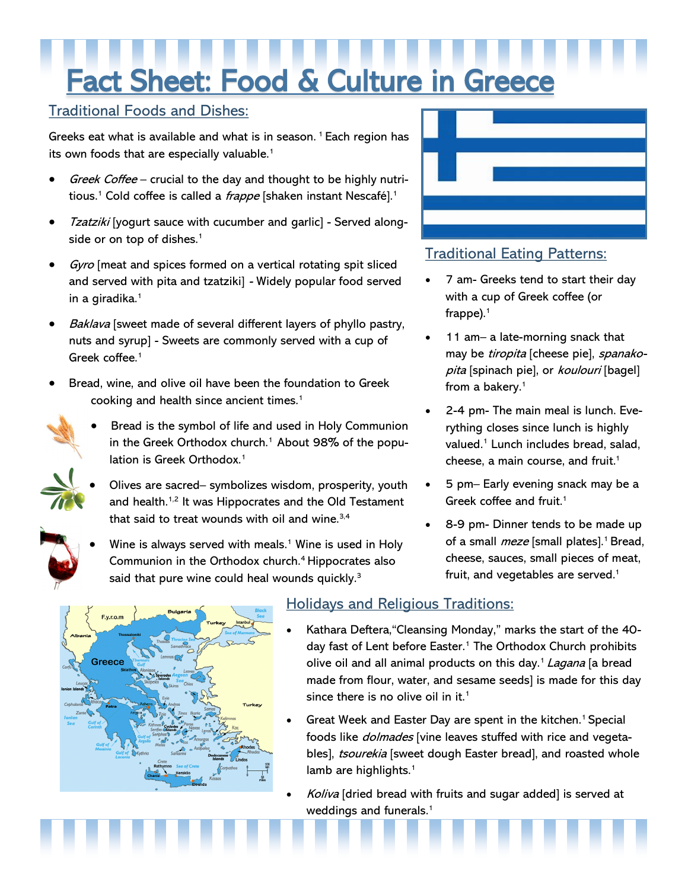# Fact Sheet: Food & Culture in Greece

#### Traditional Foods and Dishes:

Greeks eat what is available and what is in season.<sup>1</sup> Each region has its own foods that are especially valuable.<sup>1</sup>

- Greek Coffee crucial to the day and thought to be highly nutritious.<sup>1</sup> Cold coffee is called a *frappe* [shaken instant Nescafé].<sup>1</sup>
- Tzatziki [yogurt sauce with cucumber and garlic] Served alongside or on top of dishes.<sup>1</sup>
- Gyro [meat and spices formed on a vertical rotating spit sliced and served with pita and tzatziki] - Widely popular food served in a giradika.<sup>1</sup>
- Baklava [sweet made of several different layers of phyllo pastry, nuts and syrup] - Sweets are commonly served with a cup of Greek coffee.<sup>1</sup>
- Bread, wine, and olive oil have been the foundation to Greek cooking and health since ancient times.<sup>1</sup>
- 
- Bread is the symbol of life and used in Holy Communion in the Greek Orthodox church.<sup>1</sup> About 98% of the population is Greek Orthodox.<sup>1</sup>
- Olives are sacred– symbolizes wisdom, prosperity, youth and health.<sup>1,2</sup> It was Hippocrates and the Old Testament that said to treat wounds with oil and wine. $3,4$
- Wine is always served with meals.<sup>1</sup> Wine is used in Holy Communion in the Orthodox church.<sup>4</sup>Hippocrates also said that pure wine could heal wounds quickly.<sup>3</sup>



## Traditional Eating Patterns:

- 7 am- Greeks tend to start their day with a cup of Greek coffee (or frappe). $1$
- 11 am– a late-morning snack that may be tiropita [cheese pie], spanakopita [spinach pie], or koulouri [bagel] from a bakery.<sup>1</sup>
- 2-4 pm- The main meal is lunch. Everything closes since lunch is highly valued.<sup>1</sup> Lunch includes bread, salad, cheese, a main course, and fruit.<sup>1</sup>
- 5 pm– Early evening snack may be a Greek coffee and fruit.<sup>1</sup>
- 8-9 pm- Dinner tends to be made up of a small *meze* [small plates].<sup>1</sup> Bread, cheese, sauces, small pieces of meat, fruit, and vegetables are served.<sup>1</sup>



# Holidays and Religious Traditions:

- Kathara Deftera,"Cleansing Monday," marks the start of the 40 day fast of Lent before Easter.<sup>1</sup> The Orthodox Church prohibits olive oil and all animal products on this day.<sup>1</sup> Lagana [a bread made from flour, water, and sesame seeds] is made for this day since there is no olive oil in it.<sup>1</sup>
- Great Week and Easter Day are spent in the kitchen.<sup>1</sup> Special foods like *dolmades* [vine leaves stuffed with rice and vegetables], tsourekia [sweet dough Easter bread], and roasted whole lamb are highlights.<sup>1</sup>
- Koliva [dried bread with fruits and sugar added] is served at weddings and funerals.<sup>1</sup>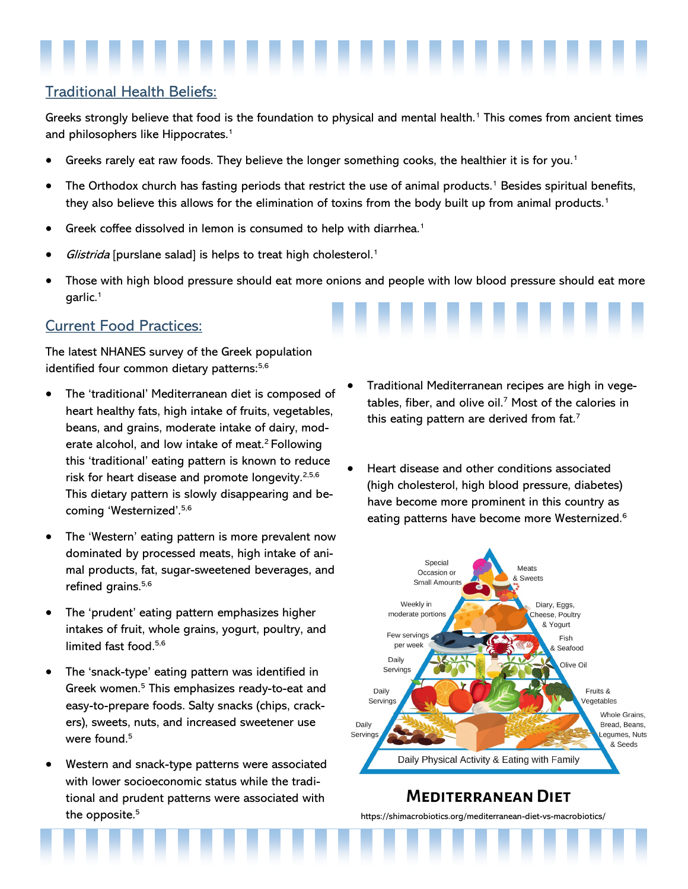### Traditional Health Beliefs:

Greeks strongly believe that food is the foundation to physical and mental health.<sup>1</sup> This comes from ancient times and philosophers like Hippocrates.<sup>1</sup>

- Greeks rarely eat raw foods. They believe the longer something cooks, the healthier it is for you.<sup>1</sup>
- The Orthodox church has fasting periods that restrict the use of animal products.<sup>1</sup> Besides spiritual benefits, they also believe this allows for the elimination of toxins from the body built up from animal products.<sup>1</sup>
- Greek coffee dissolved in lemon is consumed to help with diarrhea.<sup>1</sup>
- Glistrida [purslane salad] is helps to treat high cholesterol.<sup>1</sup>
- Those with high blood pressure should eat more onions and people with low blood pressure should eat more garlic.<sup>1</sup>

#### Current Food Practices:

The latest NHANES survey of the Greek population identified four common dietary patterns:<sup>5,6</sup>

- The 'traditional' Mediterranean diet is composed of heart healthy fats, high intake of fruits, vegetables, beans, and grains, moderate intake of dairy, moderate alcohol, and low intake of meat.<sup>2</sup> Following this 'traditional' eating pattern is known to reduce risk for heart disease and promote longevity.<sup>2,5,6</sup> This dietary pattern is slowly disappearing and becoming 'Westernized'.5,6
- The 'Western' eating pattern is more prevalent now dominated by processed meats, high intake of animal products, fat, sugar-sweetened beverages, and refined grains.<sup>5,6</sup>
- The 'prudent' eating pattern emphasizes higher intakes of fruit, whole grains, yogurt, poultry, and limited fast food.<sup>5,6</sup>
- The 'snack-type' eating pattern was identified in Greek women.<sup>5</sup> This emphasizes ready-to-eat and easy-to-prepare foods. Salty snacks (chips, crackers), sweets, nuts, and increased sweetener use were found.<sup>5</sup>
- Western and snack-type patterns were associated with lower socioeconomic status while the traditional and prudent patterns were associated with the opposite.<sup>5</sup>
- Traditional Mediterranean recipes are high in vegetables, fiber, and olive oil.<sup>7</sup> Most of the calories in this eating pattern are derived from fat.<sup>7</sup>
- Heart disease and other conditions associated (high cholesterol, high blood pressure, diabetes) have become more prominent in this country as eating patterns have become more Westernized.6